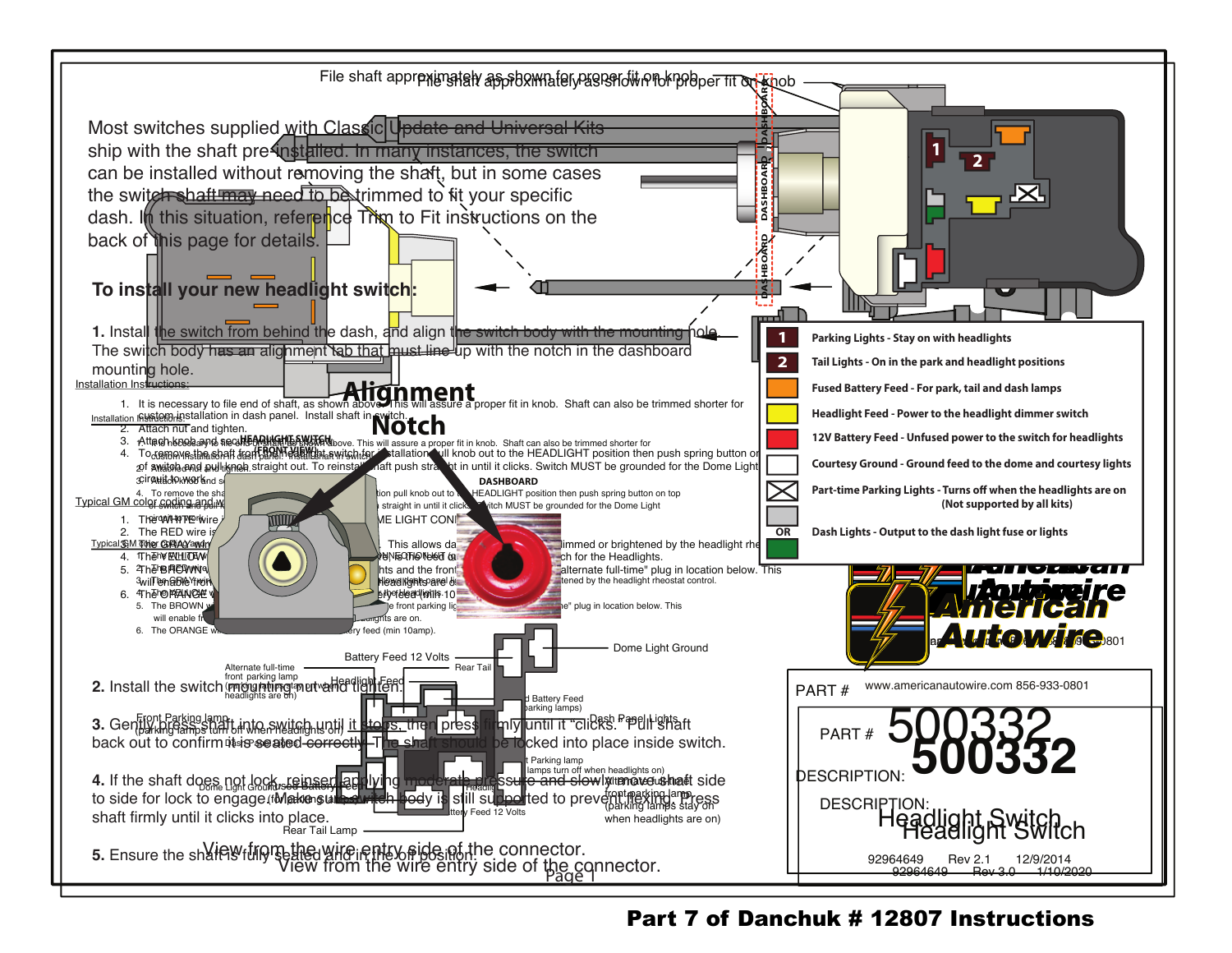

## Part 7 of Danchuk # 12807 Instructions